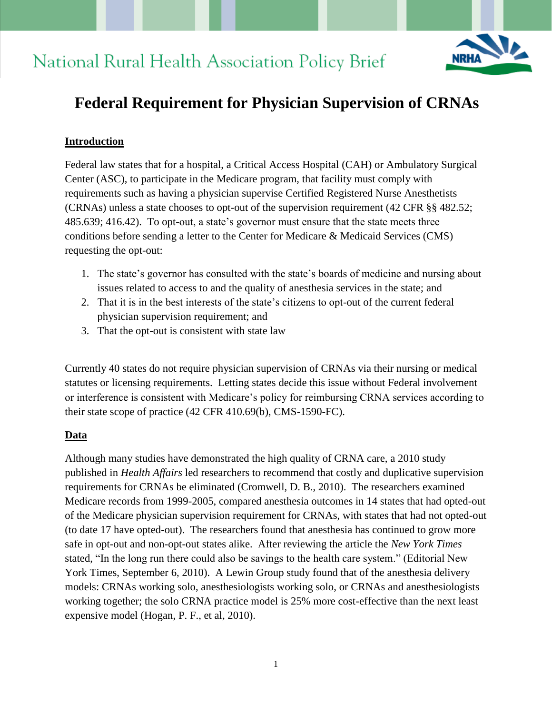# **National Rural Health Association Policy Brief**



# **Federal Requirement for Physician Supervision of CRNAs**

## **Introduction**

Federal law states that for a hospital, a Critical Access Hospital (CAH) or Ambulatory Surgical Center (ASC), to participate in the Medicare program, that facility must comply with requirements such as having a physician supervise Certified Registered Nurse Anesthetists (CRNAs) unless a state chooses to opt-out of the supervision requirement (42 CFR §§ 482.52; 485.639; 416.42). To opt-out, a state's governor must ensure that the state meets three conditions before sending a letter to the Center for Medicare & Medicaid Services (CMS) requesting the opt-out:

- 1. The state's governor has consulted with the state's boards of medicine and nursing about issues related to access to and the quality of anesthesia services in the state; and
- 2. That it is in the best interests of the state's citizens to opt-out of the current federal physician supervision requirement; and
- 3. That the opt-out is consistent with state law

Currently 40 states do not require physician supervision of CRNAs via their nursing or medical statutes or licensing requirements. Letting states decide this issue without Federal involvement or interference is consistent with Medicare's policy for reimbursing CRNA services according to their state scope of practice (42 CFR 410.69(b), CMS-1590-FC).

### **Data**

Although many studies have demonstrated the high quality of CRNA care, a 2010 study published in *Health Affairs* led researchers to recommend that costly and duplicative supervision requirements for CRNAs be eliminated (Cromwell, D. B., 2010). The researchers examined Medicare records from 1999-2005, compared anesthesia outcomes in 14 states that had opted-out of the Medicare physician supervision requirement for CRNAs, with states that had not opted-out (to date 17 have opted-out). The researchers found that anesthesia has continued to grow more safe in opt-out and non-opt-out states alike. After reviewing the article the *New York Times* stated, "In the long run there could also be savings to the health care system." (Editorial New York Times, September 6, 2010). A Lewin Group study found that of the anesthesia delivery models: CRNAs working solo, anesthesiologists working solo, or CRNAs and anesthesiologists working together; the solo CRNA practice model is 25% more cost-effective than the next least expensive model (Hogan, P. F., et al, 2010).